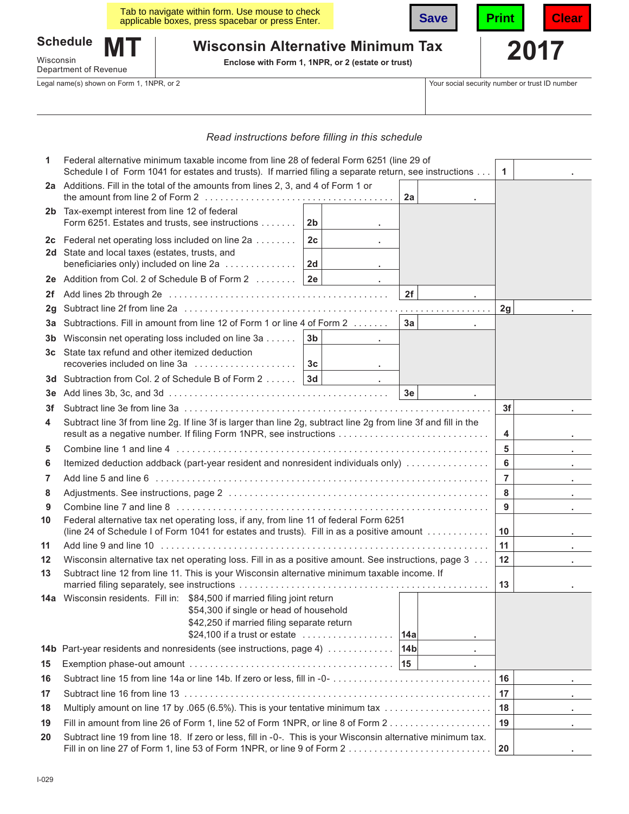|                                                       |           | Tab to navigate within form. Use mouse to check<br>applicable boxes, press spacebar or press Enter. | <b>Save</b> | Print | Clear |
|-------------------------------------------------------|-----------|-----------------------------------------------------------------------------------------------------|-------------|-------|-------|
| <b>Schedule</b><br>Wisconsin<br>Department of Revenue | <b>MT</b> | <b>Wisconsin Alternative Minimum Tax</b><br>Enclose with Form 1, 1NPR, or 2 (estate or trust)       |             | 2017  |       |

Legal name(s) shown on Form 1, 1NPR, or 2 Your social security number or trust ID number

# *Read instructions before flling in this schedule*

| 1   | Federal alternative minimum taxable income from line 28 of federal Form 6251 (line 29 of<br>Schedule I of Form 1041 for estates and trusts). If married filing a separate return, see instructions |                |  |  |                 |    | $\mathbf{1}$   |    |
|-----|----------------------------------------------------------------------------------------------------------------------------------------------------------------------------------------------------|----------------|--|--|-----------------|----|----------------|----|
|     | 2a Additions. Fill in the total of the amounts from lines 2, 3, and 4 of Form 1 or                                                                                                                 |                |  |  |                 |    |                |    |
|     |                                                                                                                                                                                                    |                |  |  | 2a              |    |                |    |
|     | 2b Tax-exempt interest from line 12 of federal                                                                                                                                                     |                |  |  |                 |    |                |    |
|     | Form 6251. Estates and trusts, see instructions                                                                                                                                                    | 2 <sub>b</sub> |  |  |                 |    |                |    |
|     | 2c Federal net operating loss included on line 2a                                                                                                                                                  | 2c             |  |  |                 |    |                |    |
|     | 2d State and local taxes (estates, trusts, and<br>beneficiaries only) included on line 2a                                                                                                          | 2d             |  |  |                 |    |                |    |
|     | 2e Addition from Col. 2 of Schedule B of Form 2                                                                                                                                                    | 2e             |  |  |                 |    |                |    |
| 2f  |                                                                                                                                                                                                    |                |  |  | 2f              |    |                |    |
| 2g  |                                                                                                                                                                                                    |                |  |  |                 |    | 2g             |    |
| За  | Subtractions. Fill in amount from line 12 of Form 1 or line 4 of Form 2                                                                                                                            |                |  |  | 3a              |    |                |    |
| 3b  | Wisconsin net operating loss included on line 3a                                                                                                                                                   | 3 <sub>b</sub> |  |  |                 |    |                |    |
| 3c  | State tax refund and other itemized deduction                                                                                                                                                      |                |  |  |                 |    |                |    |
|     | recoveries included on line 3a                                                                                                                                                                     | 3c             |  |  |                 |    |                |    |
| 3d  | Subtraction from Col. 2 of Schedule B of Form 2 3d                                                                                                                                                 |                |  |  |                 |    |                |    |
| 3e  |                                                                                                                                                                                                    |                |  |  | 3e              |    |                |    |
| 3f  |                                                                                                                                                                                                    |                |  |  |                 |    | 3f             |    |
| 4   | Subtract line 3f from line 2g. If line 3f is larger than line 2g, subtract line 2g from line 3f and fill in the                                                                                    |                |  |  |                 |    | 4              |    |
| 5   |                                                                                                                                                                                                    |                |  |  |                 |    | $5\phantom{a}$ |    |
| 6   | Itemized deduction addback (part-year resident and nonresident individuals only)                                                                                                                   |                |  |  |                 |    | 6              |    |
| 7   |                                                                                                                                                                                                    |                |  |  |                 |    | $\overline{7}$ | ٠. |
| 8   |                                                                                                                                                                                                    |                |  |  |                 |    | 8              |    |
| 9   |                                                                                                                                                                                                    |                |  |  |                 |    | 9              |    |
| 10  | Federal alternative tax net operating loss, if any, from line 11 of federal Form 6251<br>(line 24 of Schedule I of Form 1041 for estates and trusts). Fill in as a positive amount                 |                |  |  |                 |    | 10             |    |
| 11  |                                                                                                                                                                                                    |                |  |  |                 | 11 |                |    |
| 12  | Wisconsin alternative tax net operating loss. Fill in as a positive amount. See instructions, page 3                                                                                               |                |  |  |                 | 12 |                |    |
| 13  | Subtract line 12 from line 11. This is your Wisconsin alternative minimum taxable income. If                                                                                                       |                |  |  |                 |    | 13             |    |
|     | 14a Wisconsin residents. Fill in: \$84,500 if married filing joint return                                                                                                                          |                |  |  |                 |    |                |    |
|     | \$54,300 if single or head of household<br>\$42,250 if married filing separate return                                                                                                              |                |  |  |                 |    |                |    |
|     | \$24,100 if a trust or estate $\ldots \ldots \ldots \ldots \ldots$                                                                                                                                 |                |  |  | 14a             |    |                |    |
| 14b | Part-year residents and nonresidents (see instructions, page 4)                                                                                                                                    |                |  |  | 14 <sub>b</sub> |    |                |    |
| 15  | $\blacksquare$                                                                                                                                                                                     |                |  |  |                 |    |                |    |
| 16  |                                                                                                                                                                                                    |                |  |  |                 |    | 16             |    |
| 17  |                                                                                                                                                                                                    |                |  |  |                 |    | 17             |    |
| 18  | Multiply amount on line 17 by .065 (6.5%). This is your tentative minimum tax                                                                                                                      |                |  |  |                 | 18 |                |    |
| 19  | Fill in amount from line 26 of Form 1, line 52 of Form 1NPR, or line 8 of Form 2                                                                                                                   |                |  |  |                 | 19 |                |    |
| 20  | Subtract line 19 from line 18. If zero or less, fill in -0-. This is your Wisconsin alternative minimum tax.<br>Fill in on line 27 of Form 1, line 53 of Form 1NPR, or line 9 of Form 2            |                |  |  | 20              |    |                |    |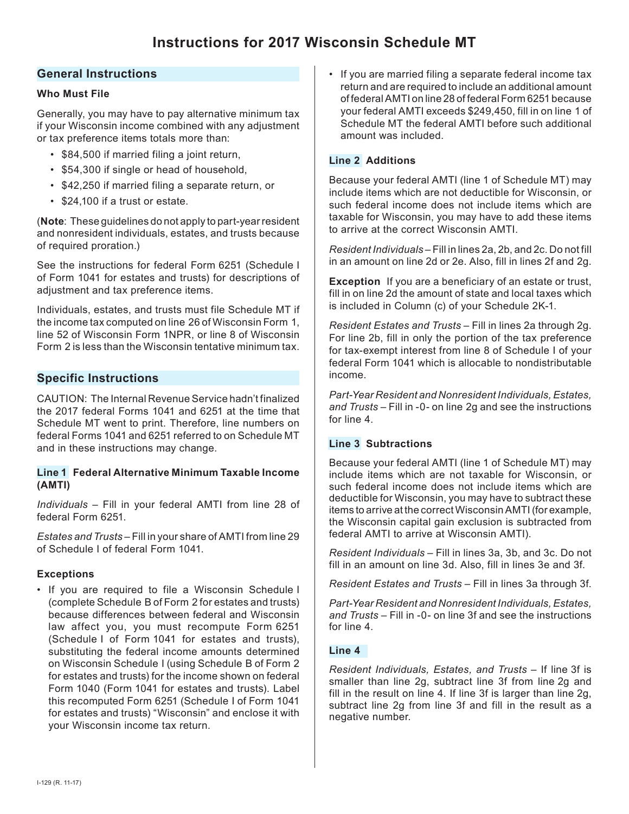# **General Instructions**

### **Who Must File**

Generally, you may have to pay alternative minimum tax if your Wisconsin income combined with any adjustment or tax preference items totals more than:

- \$84,500 if married filing a joint return,
- \$54,300 if single or head of household,
- \$42,250 if married filing a separate return, or
- \$24,100 if a trust or estate.

(**Note**: These guidelines do not apply to part-year resident and nonresident individuals, estates, and trusts because of required proration.)

See the instructions for federal Form 6251 (Schedule I of Form 1041 for estates and trusts) for descriptions of adiustment and tax preference items.

Individuals, estates, and trusts must file Schedule MT if the income tax computed on line 26 of Wisconsin Form 1, line 52 of Wisconsin Form 1NPR, or line 8 of Wisconsin Form 2 is less than the Wisconsin tentative minimum tax.

# **Specific Instructions**

CAUTION: The Internal Revenue Service hadn't finalized the 2017 federal Forms 1041 and 6251 at the time that Schedule MT went to print. Therefore, line numbers on federal Forms 1041 and 6251 referred to on Schedule MT and in these instructions may change.

### **Line 1 Federal Alternative Minimum Taxable Income (AMTI)**

*Individuals* – Fill in your federal AMTI from line 28 of federal Form 6251.

*Estates and Trusts* – Fill in your share of AMTI from line 29 of Schedule I of federal Form 1041.

## **Exceptions**

• If you are required to file a Wisconsin Schedule I (complete Schedule B of Form 2 for estates and trusts) because differences between federal and Wisconsin law affect you, you must recompute Form 6251 (Schedule I of Form 1041 for estates and trusts), substituting the federal income amounts determined on Wisconsin Schedule I (using Schedule B of Form 2 for estates and trusts) for the income shown on federal Form 1040 (Form 1041 for estates and trusts). Label this recomputed Form 6251 (Schedule I of Form 1041 for estates and trusts) "Wisconsin" and enclose it with your Wisconsin income tax return.

• If you are married filing a separate federal income tax return and are required to include an additional amount of federal AMTI on line 28 of federal Form 6251 because your federal AMTI exceeds \$249,450, fill in on line 1 of Schedule MT the federal AMTI before such additional amount was included.

## **Line 2 Additions**

Because your federal AMTI (line 1 of Schedule MT) may include items which are not deductible for Wisconsin, or such federal income does not include items which are taxable for Wisconsin, you may have to add these items to arrive at the correct Wisconsin AMTI.

*Resident Individuals* – Fill in lines 2a, 2b, and 2c. Do not fill in an amount on line 2d or 2e. Also, fill in lines 2f and 2g.

**Exception** If you are a beneficiary of an estate or trust, fill in on line 2d the amount of state and local taxes which is included in Column (c) of your Schedule 2K-1.

*Resident Estates and Trusts* – Fill in lines 2a through 2g. For line 2b, fill in only the portion of the tax preference for tax-exempt interest from line 8 of Schedule I of your federal Form 1041 which is allocable to nondistributable income.

*Part-Year Resident and Nonresident Individuals, Estates, and Trusts* – Fill in -0- on line 2g and see the instructions for line 4.

## **Line 3 Subtractions**

Because your federal AMTI (line 1 of Schedule MT) may include items which are not taxable for Wisconsin, or such federal income does not include items which are deductible for Wisconsin, you may have to subtract these items to arrive at the correct Wisconsin AMTI (for example, the Wisconsin capital gain exclusion is subtracted from federal AMTI to arrive at Wisconsin AMTI).

*Resident Individuals* – Fill in lines 3a, 3b, and 3c. Do not fill in an amount on line 3d. Also, fill in lines 3e and 3f.

*Resident Estates and Trusts* – Fill in lines 3a through 3f.

*Part-Year Resident and Nonresident Individuals, Estates, and Trusts* – Fill in -0- on line 3f and see the instructions for line 4.

### **Line 4**

*Resident Individuals, Estates, and Trusts* – If line 3f is smaller than line 2g, subtract line 3f from line 2g and fill in the result on line 4. If line 3f is larger than line 2g, subtract line 2g from line 3f and fill in the result as a negative number.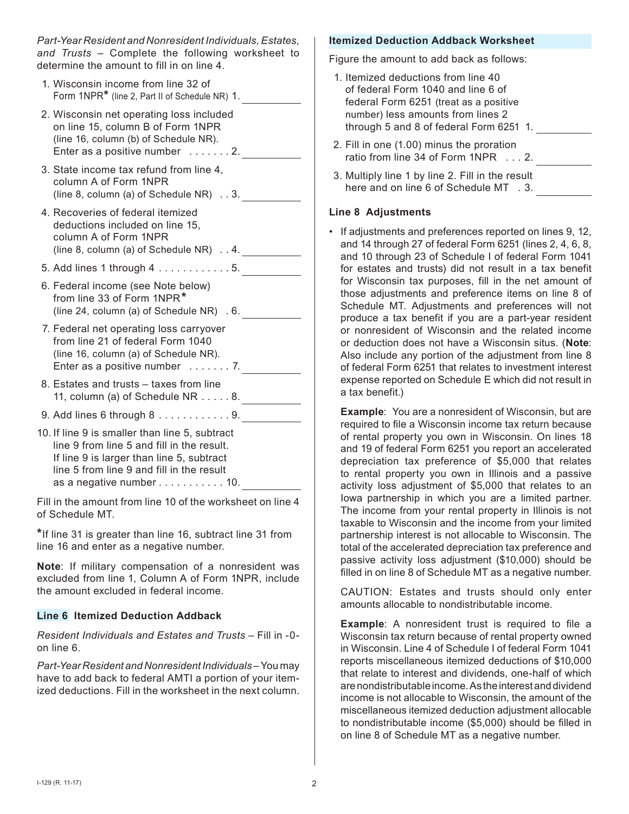*Part-Year Resident and Nonresident Individuals, Estates, and Trusts* – Complete the following worksheet to determine the amount to fill in on line 4.

- 1. Wisconsin income from line 32 of Form 1NPR**\*** (line 2, Part II of Schedule NR) 1. 2. Wisconsin net operating loss included on line 15, column B of Form 1NPR (line 16, column (b) of Schedule NR). Enter as a positive number . . . . . . . 2.
- 3. State income tax refund from line 4, column A of Form 1NPR (line 8, column (a) of Schedule NR) . . 3.
- 4. Recoveries of federal itemized deductions included on line 15, column A of Form 1NPR (line 8, column (a) of Schedule NR) . . 4.
- 5. Add lines 1 through 4 . . . . . . . . . . . . 5.
- 6. Federal income (see Note below) from line 33 of Form 1NPR**\***(line 24, column (a) of Schedule NR) . 6.
- 7. Federal net operating loss carryover from line 21 of federal Form 1040 (line 16, column (a) of Schedule NR). Enter as a positive number . . . . . . . 7.
- 8. Estates and trusts taxes from line 11, column (a) of Schedule NR . . . . . 8.
- 9. Add lines 6 through 8 . . . . . . . . . . . . 9.
- 10. If line 9 is smaller than line 5, subtract line 9 from line 5 and fill in the result. If line 9 is larger than line 5, subtract line 5 from line 9 and fill in the result as a negative number . . . . . . . . . . . 10.

Fill in the amount from line 10 of the worksheet on line 4 of Schedule MT.

**\***If line 31 is greater than line 16, subtract line 31 from line 16 and enter as a negative number.

**Note**:If military compensation of a nonresident was excluded from line 1, Column A of Form 1NPR, include the amount excluded in federal income.

## **Line 6 Itemized Deduction Addback**

*Resident Individuals and Estates and Trusts* – Fill in -0 on line 6.

*Part-Year Resident and Nonresident Individuals* – You may have to add back to federal AMTI a portion of your itemized deductions. Fill in the worksheet in the next column.

#### **Itemized Deduction Addback Worksheet**

Figure the amount to add back as follows:

- 1. Itemized deductions from line 40 of federal Form 1040 and line 6 of federal Form 6251 (treat as a positive number) less amounts from lines 2 through 5 and 8 of federal Form 6251 1. 2. Fill in one (1.00) minus the proration ratio from line 34 of Form 1NPR . . . 2.
- 3. Multiply line 1 by line 2. Fill in the result here and on line 6 of Schedule MT . 3.

### **Line 8 Adjustments**

• If adjustments and preferences reported on lines 9, 12, and 14 through 27 of federal Form 6251 (lines 2, 4, 6, 8, and 10 through 23 of Schedule I of federal Form 1041 for estates and trusts) did not result in a tax benefit for Wisconsin tax purposes, fill in the net amount of those adjustments and preference items on line 8 of Schedule MT. Adjustments and preferences will not produce a tax benefit if you are a part-year resident or nonresident of Wisconsin and the related income or deduction does not have a Wisconsin situs. (**Note**: Also include any portion of the adjustment from line 8 of federal Form 6251 that relates to investment interest expense reported on Schedule E which did not result in a tax benefit.)

**Example:** You are a nonresident of Wisconsin, but are required to fle a Wisconsin income tax return because of rental property you own in Wisconsin. On lines 18 and 19 of federal Form 6251 you report an accelerated depreciation tax preference of \$5,000 that relates to rental property you own in Illinois and a passive activity loss adjustment of \$5,000 that relates to an Iowa partnership in which you are a limited partner. The income from your rental property in Illinois is not taxable to Wisconsin and the income from your limited partnership interest is not allocable to Wisconsin. The total of the accelerated depreciation tax preference and passive activity loss adjustment (\$10,000) should be filled in on line 8 of Schedule MT as a negative number.

CAUTION:Estates and trusts should only enter amounts allocable to nondistributable income.

**Example:** A nonresident trust is required to file a Wisconsin tax return because of rental property owned in Wisconsin. Line 4 of Schedule I of federal Form 1041 reports miscellaneous itemized deductions of \$10,000 that relate to interest and dividends, one-half of which are nondistributable income. As the interest and dividend income is not allocable to Wisconsin, the amount of the miscellaneous itemized deduction adjustment allocable to nondistributable income (\$5,000) should be flled in on line 8 of Schedule MT as a negative number.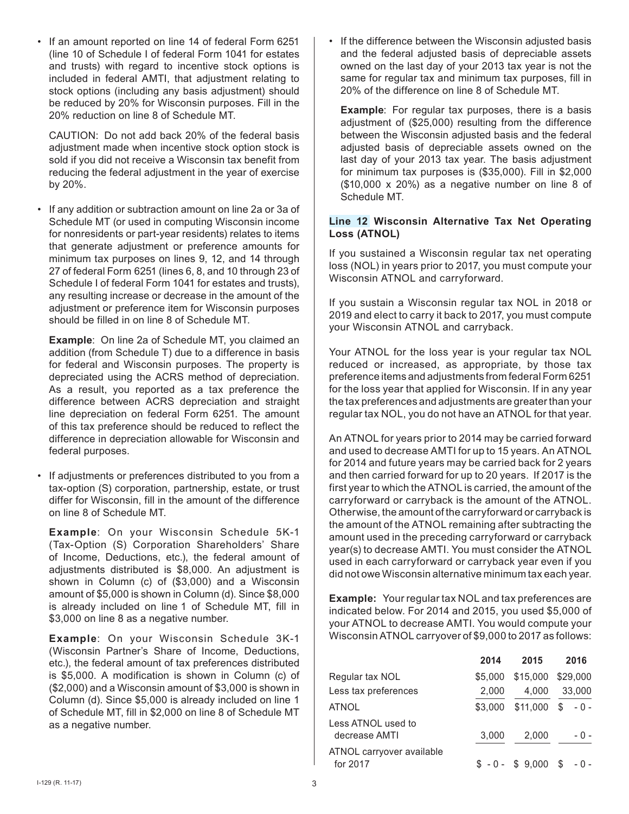• If an amount reported on line 14 of federal Form 6251 (line 10 of Schedule I of federal Form 1041 for estates and trusts) with regard to incentive stock options is included in federal AMTI, that adjustment relating to stock options (including any basis adjustment) should be reduced by 20% for Wisconsin purposes. Fill in the 20% reduction on line 8 of Schedule MT.

CAUTION:Do not add back 20% of the federal basis adjustment made when incentive stock option stock is sold if you did not receive a Wisconsin tax benefit from reducing the federal adjustment in the year of exercise by 20%.

• If any addition or subtraction amount on line 2a or 3a of Schedule MT (or used in computing Wisconsin income for nonresidents or part-year residents) relates to items that generate adjustment or preference amounts for minimum tax purposes on lines 9, 12, and 14 through 27 of federal Form 6251 (lines 6, 8, and 10 through 23 of Schedule I of federal Form 1041 for estates and trusts), any resulting increase or decrease in the amount of the adjustment or preference item for Wisconsin purposes should be filled in on line 8 of Schedule MT.

**Example**:On line 2a of Schedule MT, you claimed an addition (from Schedule T) due to a difference in basis for federal and Wisconsin purposes. The property is depreciated using the ACRS method of depreciation. As a result, you reported as a tax preference the difference between ACRS depreciation and straight line depreciation on federal Form 6251. The amount of this tax preference should be reduced to reflect the difference in depreciation allowable for Wisconsin and federal purposes.

• If adjustments or preferences distributed to you from a tax-option (S) corporation, partnership, estate, or trust differ for Wisconsin, fill in the amount of the difference on line 8 of Schedule MT.

**Example**:On your Wisconsin Schedule 5K-1 (Tax-Option (S) Corporation Shareholders' Share of Income, Deductions, etc.), the federal amount of adjustments distributed is \$8,000. An adjustment is shown in Column (c) of (\$3,000) and a Wisconsin amount of \$5,000 is shown in Column (d). Since \$8,000 is already included on line 1 of Schedule MT, fill in \$3,000 on line 8 as a negative number.

**Example**:On your Wisconsin Schedule 3K-1 (Wisconsin Partner's Share of Income, Deductions, etc.), the federal amount of tax preferences distributed is \$5,000. A modification is shown in Column (c) of (\$2,000) and a Wisconsin amount of \$3,000 is shown in Column (d). Since \$5,000 is already included on line 1 of Schedule MT, fill in \$2,000 on line 8 of Schedule MT as a negative number.

• If the difference between the Wisconsin adjusted basis and the federal adjusted basis of depreciable assets owned on the last day of your 2013 tax year is not the same for regular tax and minimum tax purposes, fill in 20% of the difference on line 8 of Schedule MT.

**Example:** For regular tax purposes, there is a basis adjustment of (\$25,000) resulting from the difference between the Wisconsin adjusted basis and the federal adjusted basis of depreciable assets owned on the last day of your 2013 tax year. The basis adjustment for minimum tax purposes is (\$35,000). Fill in \$2,000  $($10,000 \times 20\%)$  as a negative number on line 8 of Schedule MT.

### **Line 12 Wisconsin Alternative Tax Net Operating Loss (ATNOL)**

If you sustained a Wisconsin regular tax net operating loss (NOL) in years prior to 2017, you must compute your Wisconsin ATNOL and carryforward.

If you sustain a Wisconsin regular tax NOL in 2018 or 2019 and elect to carry it back to 2017, you must compute your Wisconsin ATNOL and carryback.

Your ATNOL for the loss year is your regular tax NOL reduced or increased, as appropriate, by those tax preference items and adjustments from federal Form 6251 for the loss year that applied for Wisconsin. If in any year the tax preferences and adjustments are greater than your regular tax NOL, you do not have an ATNOL for that year.

An ATNOL for years prior to 2014 may be carried forward and used to decrease AMTI for up to 15 years. An ATNOL for 2014 and future years may be carried back for 2 years and then carried forward for up to 20 years. If 2017 is the first year to which the ATNOL is carried, the amount of the carryforward or carryback is the amount of the ATNOL. Otherwise, the amount of the carryforward or carryback is the amount of the ATNOL remaining after subtracting the amount used in the preceding carryforward or carryback year(s) to decrease AMTI. You must consider the ATNOL used in each carryforward or carryback year even if you did not owe Wisconsin alternative minimum tax each year.

**Example:** Your regular tax NOL and tax preferences are indicated below. For 2014 and 2015, you used \$5,000 of your ATNOL to decrease AMTI. You would compute your Wisconsin ATNOL carryover of \$9,000 to 2017 as follows:

|                                       | 2014    | 2015             | 2016        |
|---------------------------------------|---------|------------------|-------------|
| Regular tax NOL                       | \$5.000 | \$15,000         | \$29,000    |
| Less tax preferences                  | 2,000   | 4,000            | 33,000      |
| <b>ATNOL</b>                          | \$3,000 | \$11,000         | \$<br>$-0-$ |
| Less ATNOL used to<br>decrease AMTI   | 3,000   | 2,000            | - 0 -       |
| ATNOL carryover available<br>for 2017 |         | $$ -0 - $ 9.000$ | - 0 -       |